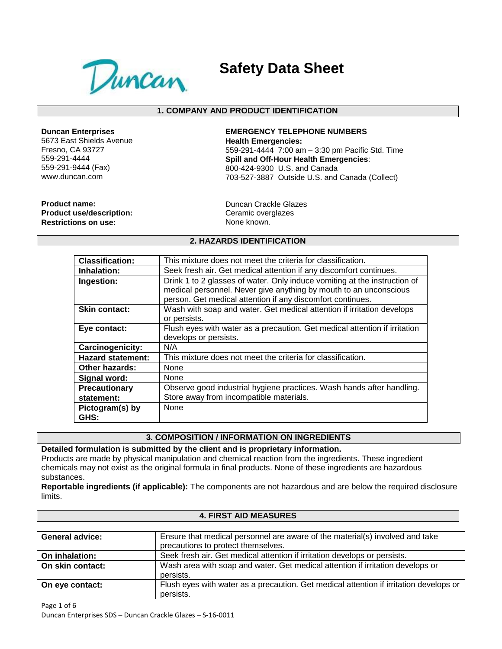

# **Safety Data Sheet**

#### **1. COMPANY AND PRODUCT IDENTIFICATION**

**Duncan Enterprises** 

5673 East Shields Avenue Fresno, CA 93727 559-291-4444 559-291-9444 (Fax) www.duncan.com

**EMERGENCY TELEPHONE NUMBERS Health Emergencies:** 559-291-4444 7:00 am – 3:30 pm Pacific Std. Time **Spill and Off-Hour Health Emergencies**: 800-424-9300 U.S. and Canada 703-527-3887 Outside U.S. and Canada (Collect)

**Product name: Product use/description: Restrictions on use:**

Duncan Crackle Glazes Ceramic overglazes None known.

#### **2. HAZARDS IDENTIFICATION**

| <b>Classification:</b>   | This mixture does not meet the criteria for classification.                |  |  |  |  |
|--------------------------|----------------------------------------------------------------------------|--|--|--|--|
| Inhalation:              | Seek fresh air. Get medical attention if any discomfort continues.         |  |  |  |  |
| Ingestion:               | Drink 1 to 2 glasses of water. Only induce vomiting at the instruction of  |  |  |  |  |
|                          | medical personnel. Never give anything by mouth to an unconscious          |  |  |  |  |
|                          | person. Get medical attention if any discomfort continues.                 |  |  |  |  |
| <b>Skin contact:</b>     | Wash with soap and water. Get medical attention if irritation develops     |  |  |  |  |
|                          | or persists.                                                               |  |  |  |  |
| Eye contact:             | Flush eyes with water as a precaution. Get medical attention if irritation |  |  |  |  |
|                          | develops or persists.                                                      |  |  |  |  |
| <b>Carcinogenicity:</b>  | N/A                                                                        |  |  |  |  |
| <b>Hazard statement:</b> | This mixture does not meet the criteria for classification.                |  |  |  |  |
| <b>Other hazards:</b>    | None                                                                       |  |  |  |  |
| Signal word:             | None                                                                       |  |  |  |  |
| <b>Precautionary</b>     | Observe good industrial hygiene practices. Wash hands after handling.      |  |  |  |  |
| statement:               | Store away from incompatible materials.                                    |  |  |  |  |
| Pictogram(s) by          | <b>None</b>                                                                |  |  |  |  |
| GHS:                     |                                                                            |  |  |  |  |

#### **3. COMPOSITION / INFORMATION ON INGREDIENTS**

**Detailed formulation is submitted by the client and is proprietary information.** Products are made by physical manipulation and chemical reaction from the ingredients. These ingredient chemicals may not exist as the original formula in final products. None of these ingredients are hazardous substances.

**Reportable ingredients (if applicable):** The components are not hazardous and are below the required disclosure limits.

**4. FIRST AID MEASURES**

| <b>General advice:</b> | Ensure that medical personnel are aware of the material(s) involved and take                        |
|------------------------|-----------------------------------------------------------------------------------------------------|
|                        | precautions to protect themselves.                                                                  |
| On inhalation:         | Seek fresh air. Get medical attention if irritation develops or persists.                           |
| On skin contact:       | Wash area with soap and water. Get medical attention if irritation develops or<br>persists.         |
| On eye contact:        | Flush eyes with water as a precaution. Get medical attention if irritation develops or<br>persists. |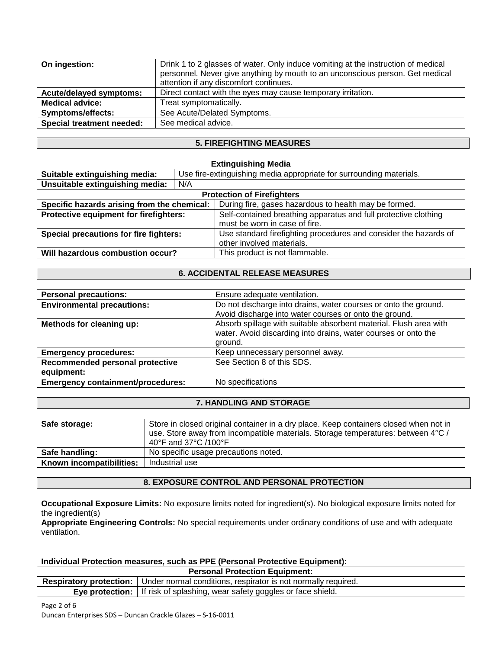| On ingestion:                    | Drink 1 to 2 glasses of water. Only induce vomiting at the instruction of medical<br>personnel. Never give anything by mouth to an unconscious person. Get medical<br>attention if any discomfort continues. |
|----------------------------------|--------------------------------------------------------------------------------------------------------------------------------------------------------------------------------------------------------------|
| Acute/delayed symptoms:          | Direct contact with the eyes may cause temporary irritation.                                                                                                                                                 |
| <b>Medical advice:</b>           | Treat symptomatically.                                                                                                                                                                                       |
| <b>Symptoms/effects:</b>         | See Acute/Delated Symptoms.                                                                                                                                                                                  |
| <b>Special treatment needed:</b> | See medical advice.                                                                                                                                                                                          |

# **5. FIREFIGHTING MEASURES**

| <b>Extinguishing Media</b>                  |                                                                     |                                                                  |  |  |
|---------------------------------------------|---------------------------------------------------------------------|------------------------------------------------------------------|--|--|
| Suitable extinguishing media:               | Use fire-extinguishing media appropriate for surrounding materials. |                                                                  |  |  |
| Unsuitable extinguishing media:             | N/A                                                                 |                                                                  |  |  |
| <b>Protection of Firefighters</b>           |                                                                     |                                                                  |  |  |
| Specific hazards arising from the chemical: |                                                                     | During fire, gases hazardous to health may be formed.            |  |  |
| Protective equipment for firefighters:      |                                                                     | Self-contained breathing apparatus and full protective clothing  |  |  |
|                                             |                                                                     | must be worn in case of fire.                                    |  |  |
| Special precautions for fire fighters:      |                                                                     | Use standard firefighting procedures and consider the hazards of |  |  |
|                                             |                                                                     | other involved materials.                                        |  |  |
| Will hazardous combustion occur?            |                                                                     | This product is not flammable.                                   |  |  |

#### **6. ACCIDENTAL RELEASE MEASURES**

| <b>Personal precautions:</b>             | Ensure adequate ventilation.                                                                                                                   |  |  |
|------------------------------------------|------------------------------------------------------------------------------------------------------------------------------------------------|--|--|
| <b>Environmental precautions:</b>        | Do not discharge into drains, water courses or onto the ground.                                                                                |  |  |
|                                          | Avoid discharge into water courses or onto the ground.                                                                                         |  |  |
| Methods for cleaning up:                 | Absorb spillage with suitable absorbent material. Flush area with<br>water. Avoid discarding into drains, water courses or onto the<br>ground. |  |  |
| <b>Emergency procedures:</b>             | Keep unnecessary personnel away.                                                                                                               |  |  |
| Recommended personal protective          | See Section 8 of this SDS.                                                                                                                     |  |  |
| equipment:                               |                                                                                                                                                |  |  |
| <b>Emergency containment/procedures:</b> | No specifications                                                                                                                              |  |  |

# **7. HANDLING AND STORAGE**

| Safe storage:            | Store in closed original container in a dry place. Keep containers closed when not in<br>use. Store away from incompatible materials. Storage temperatures: between 4°C /<br>40°F and 37°C /100°F |
|--------------------------|---------------------------------------------------------------------------------------------------------------------------------------------------------------------------------------------------|
| Safe handling:           | No specific usage precautions noted.                                                                                                                                                              |
| Known incompatibilities: | Industrial use                                                                                                                                                                                    |

#### **8. EXPOSURE CONTROL AND PERSONAL PROTECTION**

**Occupational Exposure Limits:** No exposure limits noted for ingredient(s). No biological exposure limits noted for the ingredient(s)

**Appropriate Engineering Controls:** No special requirements under ordinary conditions of use and with adequate ventilation.

#### **Individual Protection measures, such as PPE (Personal Protective Equipment):**

| <b>Personal Protection Equipment:</b> |                                                                                                |  |  |
|---------------------------------------|------------------------------------------------------------------------------------------------|--|--|
|                                       | <b>Respiratory protection:</b>   Under normal conditions, respirator is not normally required. |  |  |
|                                       | Eye protection: $\vert$ If risk of splashing, wear safety goggles or face shield.              |  |  |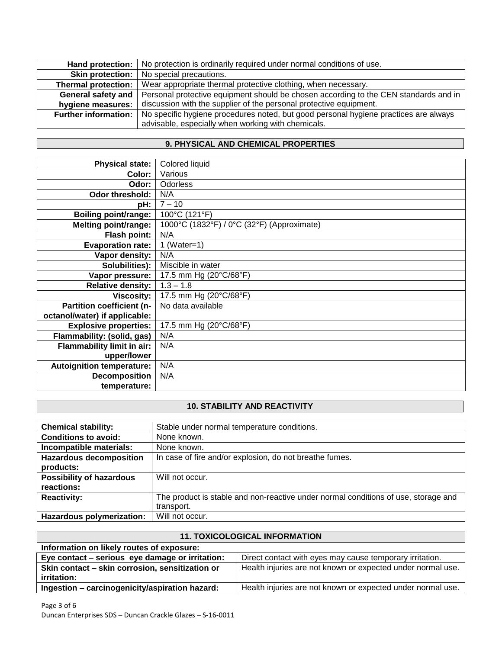| Hand protection:            | No protection is ordinarily required under normal conditions of use.                 |
|-----------------------------|--------------------------------------------------------------------------------------|
| <b>Skin protection:</b>     | No special precautions.                                                              |
| <b>Thermal protection:</b>  | Wear appropriate thermal protective clothing, when necessary.                        |
| <b>General safety and</b>   | Personal protective equipment should be chosen according to the CEN standards and in |
| hygiene measures:           | discussion with the supplier of the personal protective equipment.                   |
| <b>Further information:</b> | No specific hygiene procedures noted, but good personal hygiene practices are always |
|                             | advisable, especially when working with chemicals.                                   |

# **9. PHYSICAL AND CHEMICAL PROPERTIES**

| <b>Physical state:</b>           | <b>Colored liquid</b>                      |
|----------------------------------|--------------------------------------------|
| Color:                           | Various                                    |
| Odor:                            | <b>Odorless</b>                            |
| Odor threshold:                  | N/A                                        |
| pH:                              | $7 - 10$                                   |
| <b>Boiling point/range:</b>      | 100°C (121°F)                              |
| <b>Melting point/range:</b>      | 1000°C (1832°F) / 0°C (32°F) (Approximate) |
| Flash point:                     | N/A                                        |
| <b>Evaporation rate:</b>         | 1 (Water=1)                                |
| Vapor density:                   | N/A                                        |
| Solubilities):                   | Miscible in water                          |
| Vapor pressure:                  | 17.5 mm Hg (20°C/68°F)                     |
| <b>Relative density:</b>         | $1.3 - 1.8$                                |
| <b>Viscosity:</b>                | 17.5 mm Hg (20°C/68°F)                     |
| Partition coefficient (n-        | No data available                          |
| octanol/water) if applicable:    |                                            |
| <b>Explosive properties:</b>     | 17.5 mm Hg (20°C/68°F)                     |
| Flammability: (solid, gas)       | N/A                                        |
| Flammability limit in air:       | N/A                                        |
| upper/lower                      |                                            |
| <b>Autoignition temperature:</b> | N/A                                        |
| <b>Decomposition</b>             | N/A                                        |
| temperature:                     |                                            |

#### **10. STABILITY AND REACTIVITY**

| <b>Chemical stability:</b>      | Stable under normal temperature conditions.                                        |
|---------------------------------|------------------------------------------------------------------------------------|
| <b>Conditions to avoid:</b>     | None known.                                                                        |
| Incompatible materials:         | None known.                                                                        |
| <b>Hazardous decomposition</b>  | In case of fire and/or explosion, do not breathe fumes.                            |
| products:                       |                                                                                    |
| <b>Possibility of hazardous</b> | Will not occur.                                                                    |
| reactions:                      |                                                                                    |
| <b>Reactivity:</b>              | The product is stable and non-reactive under normal conditions of use, storage and |
|                                 | transport.                                                                         |
| Hazardous polymerization:       | Will not occur.                                                                    |

# **11. TOXICOLOGICAL INFORMATION**

| Information on likely routes of exposure:       |                                                             |
|-------------------------------------------------|-------------------------------------------------------------|
| Eye contact – serious eye damage or irritation: | Direct contact with eyes may cause temporary irritation.    |
| Skin contact - skin corrosion, sensitization or | Health injuries are not known or expected under normal use. |
| irritation:                                     |                                                             |
| Ingestion - carcinogenicity/aspiration hazard:  | Health injuries are not known or expected under normal use. |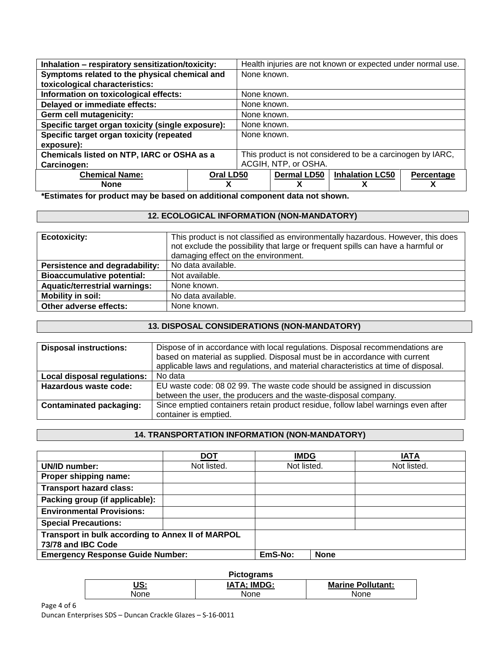| Inhalation - respiratory sensitization/toxicity:  |           |                                                            | Health injuries are not known or expected under normal use. |                        |            |  |
|---------------------------------------------------|-----------|------------------------------------------------------------|-------------------------------------------------------------|------------------------|------------|--|
| Symptoms related to the physical chemical and     |           |                                                            | None known.                                                 |                        |            |  |
| toxicological characteristics:                    |           |                                                            |                                                             |                        |            |  |
| Information on toxicological effects:             |           |                                                            | None known.                                                 |                        |            |  |
| Delayed or immediate effects:                     |           |                                                            | None known.                                                 |                        |            |  |
| Germ cell mutagenicity:                           |           |                                                            | None known.                                                 |                        |            |  |
| Specific target organ toxicity (single exposure): |           |                                                            | None known.                                                 |                        |            |  |
| Specific target organ toxicity (repeated          |           |                                                            | None known.                                                 |                        |            |  |
| exposure):                                        |           |                                                            |                                                             |                        |            |  |
| Chemicals listed on NTP, IARC or OSHA as a        |           | This product is not considered to be a carcinogen by IARC, |                                                             |                        |            |  |
| Carcinogen:                                       |           | ACGIH, NTP, or OSHA.                                       |                                                             |                        |            |  |
| <b>Chemical Name:</b>                             | Oral LD50 |                                                            | <b>Dermal LD50</b>                                          | <b>Inhalation LC50</b> | Percentage |  |
| <b>None</b><br>х                                  |           |                                                            | x                                                           | х                      |            |  |

**\*Estimates for product may be based on additional component data not shown.**

# **12. ECOLOGICAL INFORMATION (NON-MANDATORY)**

| <b>Ecotoxicity:</b>                  | This product is not classified as environmentally hazardous. However, this does<br>not exclude the possibility that large or frequent spills can have a harmful or<br>damaging effect on the environment. |  |  |
|--------------------------------------|-----------------------------------------------------------------------------------------------------------------------------------------------------------------------------------------------------------|--|--|
| Persistence and degradability:       | No data available.                                                                                                                                                                                        |  |  |
| <b>Bioaccumulative potential:</b>    | Not available.                                                                                                                                                                                            |  |  |
| <b>Aquatic/terrestrial warnings:</b> | None known.                                                                                                                                                                                               |  |  |
| Mobility in soil:                    | No data available.                                                                                                                                                                                        |  |  |
| Other adverse effects:               | None known.                                                                                                                                                                                               |  |  |

# **13. DISPOSAL CONSIDERATIONS (NON-MANDATORY)**

| <b>Disposal instructions:</b>  | Dispose of in accordance with local regulations. Disposal recommendations are<br>based on material as supplied. Disposal must be in accordance with current<br>applicable laws and regulations, and material characteristics at time of disposal. |  |  |
|--------------------------------|---------------------------------------------------------------------------------------------------------------------------------------------------------------------------------------------------------------------------------------------------|--|--|
| Local disposal regulations:    | No data                                                                                                                                                                                                                                           |  |  |
| Hazardous waste code:          | EU waste code: 08 02 99. The waste code should be assigned in discussion                                                                                                                                                                          |  |  |
|                                | between the user, the producers and the waste-disposal company.                                                                                                                                                                                   |  |  |
| <b>Contaminated packaging:</b> | Since emptied containers retain product residue, follow label warnings even after                                                                                                                                                                 |  |  |
|                                | container is emptied.                                                                                                                                                                                                                             |  |  |

# **14. TRANSPORTATION INFORMATION (NON-MANDATORY)**

|                                                   | <b>DOT</b>  | <b>IMDG</b> |             | <b>IATA</b> |
|---------------------------------------------------|-------------|-------------|-------------|-------------|
| UN/ID number:                                     | Not listed. | Not listed. |             | Not listed. |
| Proper shipping name:                             |             |             |             |             |
| <b>Transport hazard class:</b>                    |             |             |             |             |
| Packing group (if applicable):                    |             |             |             |             |
| <b>Environmental Provisions:</b>                  |             |             |             |             |
| <b>Special Precautions:</b>                       |             |             |             |             |
| Transport in bulk according to Annex II of MARPOL |             |             |             |             |
| 73/78 and IBC Code                                |             |             |             |             |
| <b>Emergency Response Guide Number:</b>           |             | EmS-No:     | <b>None</b> |             |

| <b>Pictograms</b> |                    |                          |  |  |
|-------------------|--------------------|--------------------------|--|--|
| US:               | <b>IATA: IMDG:</b> | <b>Marine Pollutant:</b> |  |  |
| None              | <b>None</b>        | <b>None</b>              |  |  |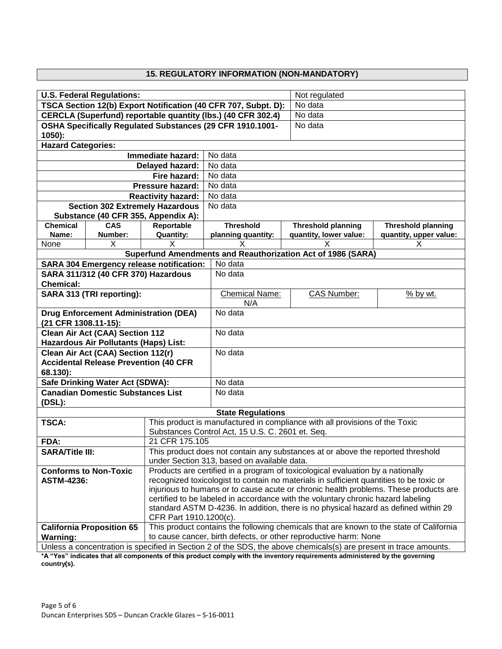# **15. REGULATORY INFORMATION (NON-MANDATORY)**

|                                                                | <b>U.S. Federal Regulations:</b>             |                                                                                                                                                             |                                                           | Not regulated                                                                                                     |                           |  |
|----------------------------------------------------------------|----------------------------------------------|-------------------------------------------------------------------------------------------------------------------------------------------------------------|-----------------------------------------------------------|-------------------------------------------------------------------------------------------------------------------|---------------------------|--|
| TSCA Section 12(b) Export Notification (40 CFR 707, Subpt. D): |                                              |                                                                                                                                                             |                                                           | No data                                                                                                           |                           |  |
| CERCLA (Superfund) reportable quantity (lbs.) (40 CFR 302.4)   |                                              |                                                                                                                                                             | No data                                                   |                                                                                                                   |                           |  |
|                                                                |                                              |                                                                                                                                                             | OSHA Specifically Regulated Substances (29 CFR 1910.1001- | No data                                                                                                           |                           |  |
| $1050$ :                                                       |                                              |                                                                                                                                                             |                                                           |                                                                                                                   |                           |  |
| <b>Hazard Categories:</b>                                      |                                              |                                                                                                                                                             |                                                           |                                                                                                                   |                           |  |
|                                                                |                                              | Immediate hazard:                                                                                                                                           | No data                                                   |                                                                                                                   |                           |  |
|                                                                |                                              | Delayed hazard:                                                                                                                                             | No data                                                   |                                                                                                                   |                           |  |
|                                                                |                                              | Fire hazard:                                                                                                                                                | No data                                                   |                                                                                                                   |                           |  |
|                                                                |                                              | Pressure hazard:                                                                                                                                            | No data                                                   |                                                                                                                   |                           |  |
|                                                                |                                              | <b>Reactivity hazard:</b>                                                                                                                                   | No data                                                   |                                                                                                                   |                           |  |
|                                                                |                                              | <b>Section 302 Extremely Hazardous</b>                                                                                                                      | No data                                                   |                                                                                                                   |                           |  |
|                                                                |                                              | Substance (40 CFR 355, Appendix A):                                                                                                                         |                                                           |                                                                                                                   |                           |  |
| <b>Chemical</b>                                                | <b>CAS</b>                                   | Reportable                                                                                                                                                  | <b>Threshold</b>                                          | <b>Threshold planning</b>                                                                                         | <b>Threshold planning</b> |  |
| Name:                                                          | Number:                                      | <b>Quantity:</b>                                                                                                                                            | planning quantity:                                        | quantity, lower value:                                                                                            | quantity, upper value:    |  |
| None                                                           | X                                            | X                                                                                                                                                           | X                                                         | х                                                                                                                 | х                         |  |
| Superfund Amendments and Reauthorization Act of 1986 (SARA)    |                                              |                                                                                                                                                             |                                                           |                                                                                                                   |                           |  |
| <b>SARA 304 Emergency release notification:</b>                |                                              |                                                                                                                                                             | No data                                                   |                                                                                                                   |                           |  |
| SARA 311/312 (40 CFR 370) Hazardous<br><b>Chemical:</b>        |                                              |                                                                                                                                                             | No data                                                   |                                                                                                                   |                           |  |
| SARA 313 (TRI reporting):                                      |                                              | <b>Chemical Name:</b>                                                                                                                                       | <b>CAS Number:</b>                                        | $%$ by wt.                                                                                                        |                           |  |
|                                                                |                                              | N/A                                                                                                                                                         |                                                           |                                                                                                                   |                           |  |
|                                                                | <b>Drug Enforcement Administration (DEA)</b> |                                                                                                                                                             | No data                                                   |                                                                                                                   |                           |  |
| (21 CFR 1308.11-15):                                           |                                              |                                                                                                                                                             |                                                           |                                                                                                                   |                           |  |
| <b>Clean Air Act (CAA) Section 112</b>                         |                                              | No data                                                                                                                                                     |                                                           |                                                                                                                   |                           |  |
| Hazardous Air Pollutants (Haps) List:                          |                                              |                                                                                                                                                             |                                                           |                                                                                                                   |                           |  |
|                                                                | Clean Air Act (CAA) Section 112(r)           |                                                                                                                                                             | No data                                                   |                                                                                                                   |                           |  |
|                                                                | <b>Accidental Release Prevention (40 CFR</b> |                                                                                                                                                             |                                                           |                                                                                                                   |                           |  |
| 68.130):                                                       |                                              |                                                                                                                                                             | No data                                                   |                                                                                                                   |                           |  |
| Safe Drinking Water Act (SDWA):                                |                                              |                                                                                                                                                             | No data                                                   |                                                                                                                   |                           |  |
| <b>Canadian Domestic Substances List</b><br>(DSL):             |                                              |                                                                                                                                                             |                                                           |                                                                                                                   |                           |  |
|                                                                |                                              |                                                                                                                                                             | <b>State Regulations</b>                                  |                                                                                                                   |                           |  |
| <b>TSCA:</b>                                                   |                                              |                                                                                                                                                             |                                                           |                                                                                                                   |                           |  |
|                                                                |                                              | This product is manufactured in compliance with all provisions of the Toxic<br>Substances Control Act, 15 U.S. C. 2601 et. Seq.                             |                                                           |                                                                                                                   |                           |  |
| FDA:                                                           |                                              | 21 CFR 175.105                                                                                                                                              |                                                           |                                                                                                                   |                           |  |
| <b>SARA/Title III:</b>                                         |                                              | This product does not contain any substances at or above the reported threshold                                                                             |                                                           |                                                                                                                   |                           |  |
|                                                                |                                              | under Section 313, based on available data.                                                                                                                 |                                                           |                                                                                                                   |                           |  |
|                                                                | <b>Conforms to Non-Toxic</b>                 | Products are certified in a program of toxicological evaluation by a nationally                                                                             |                                                           |                                                                                                                   |                           |  |
| <b>ASTM-4236:</b>                                              |                                              | recognized toxicologist to contain no materials in sufficient quantities to be toxic or                                                                     |                                                           |                                                                                                                   |                           |  |
|                                                                |                                              | injurious to humans or to cause acute or chronic health problems. These products are                                                                        |                                                           |                                                                                                                   |                           |  |
|                                                                |                                              | certified to be labeled in accordance with the voluntary chronic hazard labeling                                                                            |                                                           |                                                                                                                   |                           |  |
|                                                                |                                              | standard ASTM D-4236. In addition, there is no physical hazard as defined within 29<br>CFR Part 1910.1200(c).                                               |                                                           |                                                                                                                   |                           |  |
|                                                                | <b>California Proposition 65</b>             |                                                                                                                                                             |                                                           |                                                                                                                   |                           |  |
| <b>Warning:</b>                                                |                                              | This product contains the following chemicals that are known to the state of California<br>to cause cancer, birth defects, or other reproductive harm: None |                                                           |                                                                                                                   |                           |  |
|                                                                |                                              |                                                                                                                                                             |                                                           | Unless a concentration is specified in Section 2 of the SDS, the above chemicals(s) are present in trace amounts. |                           |  |
|                                                                |                                              |                                                                                                                                                             |                                                           |                                                                                                                   |                           |  |

**\*A "Yes" indicates that all components of this product comply with the inventory requirements administered by the governing country(s).**